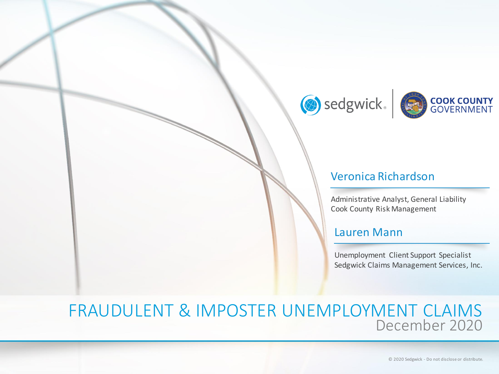



#### Veronica Richardson

Administrative Analyst, General Liability Cook County Risk Management

#### Lauren Mann

Unemployment Client Support Specialist Sedgwick Claims Management Services, Inc.

## FRAUDULENT & IMPOSTER UNEMPLOYMENT CLAIMS December 2020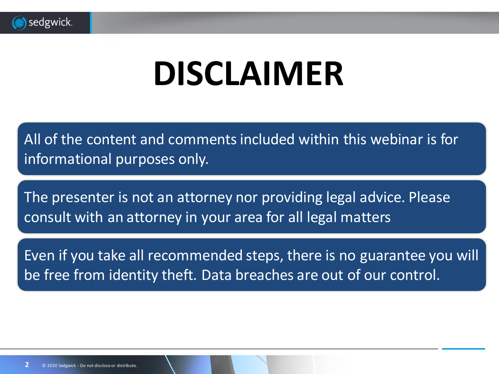

# **DISCLAIMER**

All of the content and comments included within this webinar is for informational purposes only.

The presenter is not an attorney nor providing legal advice. Please consult with an attorney in your area for all legal matters

Even if you take all recommended steps, there is no guarantee you will be free from identity theft. Data breaches are out of our control.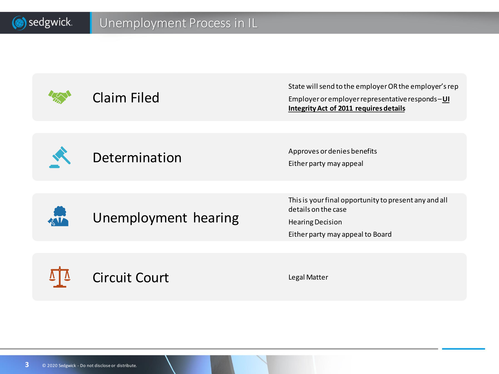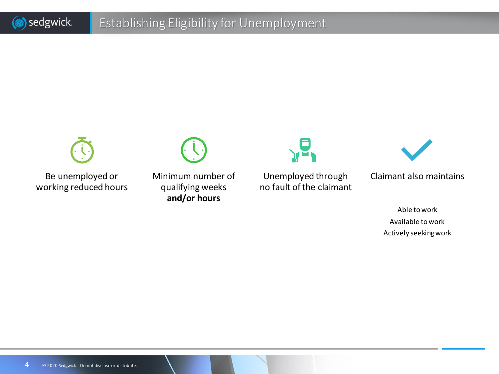### Establishing Eligibility for Unemployment



Be unemployed or working reduced hours



Minimum number of qualifying weeks **and/or hours**



Unemployed through no fault of the claimant



Claimant also maintains

Able to work Available to work Actively seeking work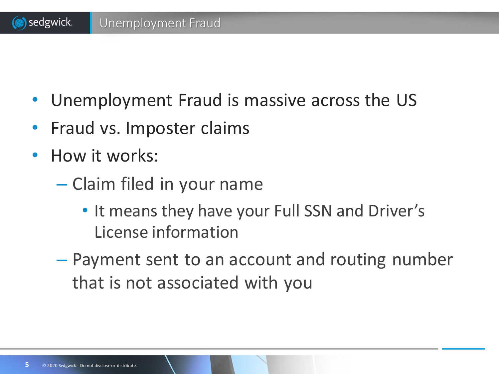- Unemployment Fraud is massive across the US
- Fraud vs. Imposter claims
- How it works:
	- Claim filed in your name
		- It means they have your Full SSN and Driver's License information
	- Payment sent to an account and routing number that is not associated with you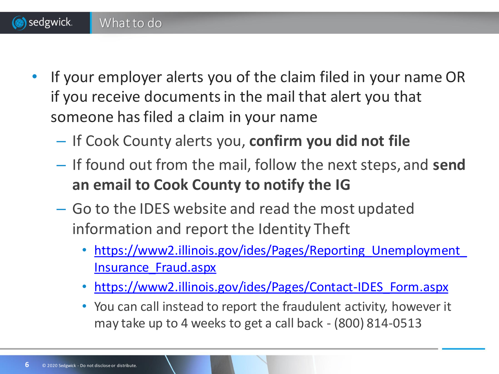• If your employer alerts you of the claim filed in your name OR if you receive documents in the mail that alert you that someone has filed a claim in your name

- If Cook County alerts you, **confirm you did not file**
- If found out from the mail, follow the next steps, and **send an email to Cook County to notify the IG**
- Go to the IDES website and read the most updated information and report the Identity Theft
	- https://www2.illinois.gov/ides/Pages/Reporting Unemployment Insurance\_Fraud.aspx
	- [https://www2.illinois.gov/ides/Pages/Contact-IDES\\_Form.aspx](https://www2.illinois.gov/ides/Pages/Contact-IDES_Form.aspx)
	- You can call instead to report the fraudulent activity, however it may take up to 4 weeks to get a call back - (800) 814-0513

What to do

sedgwick.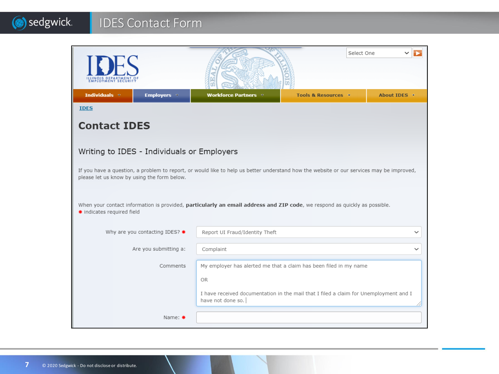#### (b) sedgwick. IDES Contact Form

|                                                                                                                                                                                         |                    |                                                                                                            |                     | Select One |              |
|-----------------------------------------------------------------------------------------------------------------------------------------------------------------------------------------|--------------------|------------------------------------------------------------------------------------------------------------|---------------------|------------|--------------|
| Individuals $\triangledown$                                                                                                                                                             | <b>Employers =</b> | <b>Workforce Partners v</b>                                                                                | Tools & Resources + |            | About IDES - |
| <b>IDES</b>                                                                                                                                                                             |                    |                                                                                                            |                     |            |              |
| <b>Contact IDES</b>                                                                                                                                                                     |                    |                                                                                                            |                     |            |              |
|                                                                                                                                                                                         |                    |                                                                                                            |                     |            |              |
| Writing to IDES - Individuals or Employers                                                                                                                                              |                    |                                                                                                            |                     |            |              |
| If you have a question, a problem to report, or would like to help us better understand how the website or our services may be improved,<br>please let us know by using the form below. |                    |                                                                                                            |                     |            |              |
| When your contact information is provided, particularly an email address and ZIP code, we respond as quickly as possible.<br>* indicates required field                                 |                    |                                                                                                            |                     |            |              |
| Why are you contacting IDES? *                                                                                                                                                          |                    | Report UI Fraud/Identity Theft                                                                             |                     |            |              |
| Are you submitting a:                                                                                                                                                                   |                    | Complaint                                                                                                  |                     |            |              |
| Comments<br>My employer has alerted me that a claim has been filed in my name                                                                                                           |                    |                                                                                                            |                     |            |              |
| <b>OR</b>                                                                                                                                                                               |                    |                                                                                                            |                     |            |              |
|                                                                                                                                                                                         |                    | I have received documentation in the mail that I filed a claim for Unemployment and I<br>have not done so. |                     |            |              |
| Name: $*$                                                                                                                                                                               |                    |                                                                                                            |                     |            |              |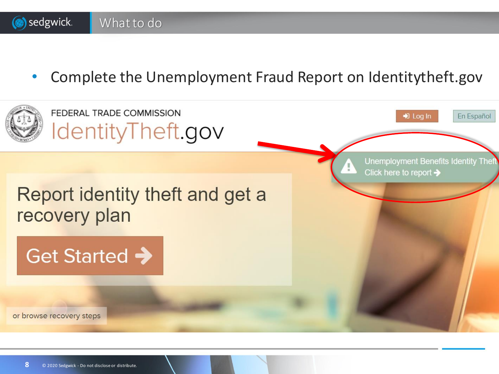

Get Started  $\rightarrow$ 

What to do

or browse recovery steps

sedgwick.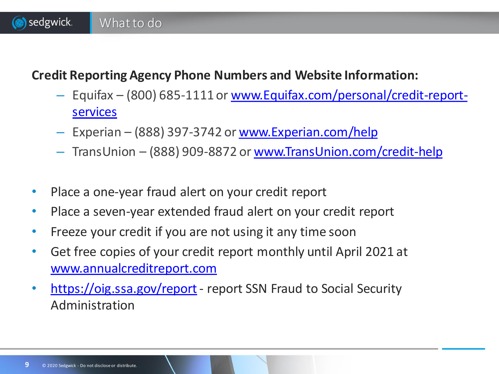### **Credit Reporting Agency Phone Numbers and Website Information:**

- Equifax [\(800\) 685-1111 or www.Equifax.com/personal/credit-report](http://www.equifax.com/personal/credit-report-services)services
- Experian (888) 397-3742 or [www.Experian.com/help](http://www.experian.com/help)
- TransUnion (888) 909-8872 or [www.TransUnion.com/credit-help](http://www.transunion.com/credit-help)
- Place a one-year fraud alert on your credit report

What to do

sedgwick.

- Place a seven-year extended fraud alert on your credit report
- Freeze your credit if you are not using it any time soon
- Get free copies of your credit report monthly until April 2021 at [www.annualcreditreport.com](https://www.annualcreditreport.com/index.action)
- <https://oig.ssa.gov/report> report SSN Fraud to Social Security Administration